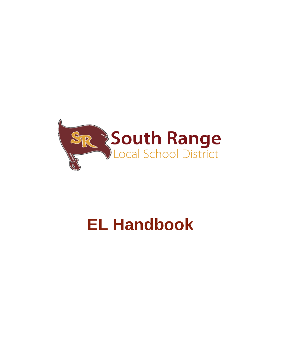

# **EL Handbook**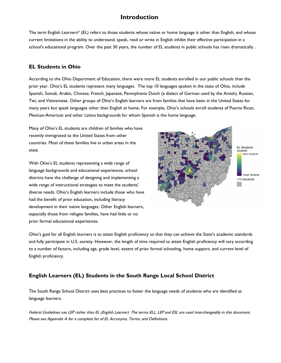## **Introduction**

The term English Learners\* (EL) refers to those students whose native or home language is other than English, and whose current limitations in the ability to understand, speak, read or write in English inhibit their effective participation in a school's educational program. Over the past 30 years, the number of EL students in public schools has risen dramatically. .

## **EL Students in Ohio**

According to the Ohio Department of Education, there were more EL students enrolled in our public schools than the prior year. Ohio's EL students represent many languages. The top 10 languages spoken in the state of Ohio, include Spanish, Somali, Arabic, Chinese, French, Japanese, Pennsylvania Dutch (a dialect of German used by the Amish), Russian, Twi, and Vietnamese. Other groups of Ohio's English learners are from families that have been in the United States for many years but speak languages other than English at home. For example, Ohio's schools enroll students of Puerto Rican, Mexican-American and other Latino backgrounds for whom Spanish is the home language.

Many of Ohio's EL students are children of families who have recently immigrated to the United States from other countries. Most of these families live in urban areas in the state.

With Ohio's EL students representing a wide range of language backgrounds and educational experiences, school districts have the challenge of designing and implementing a wide range of instructional strategies to meet the students' diverse needs. Ohio's English learners include those who have had the benefit of prior education, including literacy development in their native languages. Other English learners, especially those from refugee families, have had little or no prior formal educational experiences.



Ohio's goal for all English learners is to attain English proficiency so that they can achieve the State's academic standards and fully participate in U.S. society. However, the length of time required to attain English proficiency will vary according to a number of factors, including age, grade level, extent of prior formal schooling, home support, and current level of English proficiency.

## **English Learners (EL) Students in the South Range Local School District**

The South Range School District uses best practices to foster the language needs of students who are identified as language learners.

Federal Guidelines use LEP rather than EL (English Learner). The terms ELL, LEP and ESL are used interchangeably in this document. Please see Appendix A for a complete list of EL Acronyms, Terms, and Definitions.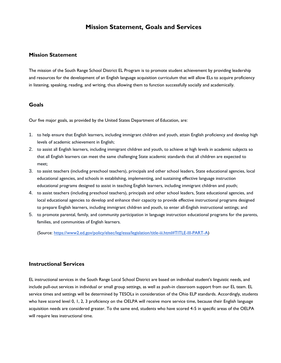## **Mission Statement, Goals and Services**

## **Mission Statement**

The mission of the South Range School District EL Program is to promote student achievement by providing leadership and resources for the development of an English language acquisition curriculum that will allow ELs to acquire proficiency in listening, speaking, reading, and writing, thus allowing them to function successfully socially and academically.

## **Goals**

Our five major goals, as provided by the United States Department of Education, are:

- 1. to help ensure that English learners, including immigrant children and youth, attain English proficiency and develop high levels of academic achievement in English;
- 2. to assist all English learners, including immigrant children and youth, to achieve at high levels in academic subjects so that all English learners can meet the same challenging State academic standards that all children are expected to meet;
- 3. to assist teachers (including preschool teachers), principals and other school leaders, State educational agencies, local educational agencies, and schools in establishing, implementing, and sustaining effective language instruction educational programs designed to assist in teaching English learners, including immigrant children and youth;
- 4. to assist teachers (including preschool teachers), principals and other school leaders, State educational agencies, and local educational agencies to develop and enhance their capacity to provide effective instructional programs designed to prepare English learners, including immigrant children and youth, to enter all-English instructional settings; and
- 5. to promote parental, family, and community participation in language instruction educational programs for the parents, families, and communities of English learners.

(Source: [https://www2.ed.gov/policy/elsec/leg/essa/legislation/title-iii.html#TITLE-III-PART-A\)](https://www2.ed.gov/policy/elsec/leg/essa/legislation/title-iii.html#TITLE-III-PART-A)

#### **Instructional Services**

EL instructional services in the South Range Local School District are based on individual student's linguistic needs, and include pull-out services in individual or small group settings, as well as push-in classroom support from our EL team. EL service times and settings will be determined by TESOLs in consideration of the Ohio ELP standards. Accordingly, students who have scored level 0, 1, 2, 3 proficiency on the OELPA will receive more service time, because their English language acquisition needs are considered greater. To the same end, students who have scored 4-5 in specific areas of the OELPA will require less instructional time.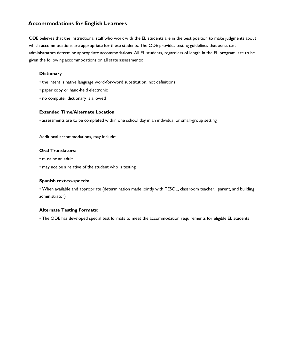## **Accommodations for English Learners**

ODE believes that the instructional staff who work with the EL students are in the best position to make judgments about which accommodations are appropriate for these students. The ODE provides testing guidelines that assist test administrators determine appropriate accommodations. All EL students, regardless of length in the EL program, are to be given the following accommodations on all state assessments:

#### **Dictionary**

- the intent is native language word-for-word substitution, not definitions
- paper copy or hand-held electronic
- no computer dictionary is allowed

#### **Extended Time/Alternate Location**

• assessments are to be completed within one school day in an individual or small-group setting

Additional accommodations, may include:

## **Oral Translators**:

- must be an adult
- may not be a relative of the student who is testing

#### **Spanish text-to-speech:**

• When available and appropriate (determination made jointly with TESOL, classroom teacher, parent, and building administrator)

## **Alternate Testing Formats**:

• The ODE has developed special test formats to meet the accommodation requirements for eligible EL students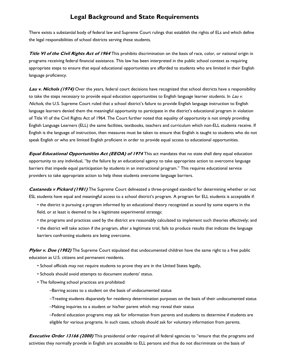## **Legal Background and State Requirements**

There exists a substantial body of federal law and Supreme Court rulings that establish the rights of ELs and which define the legal responsibilities of school districts serving these students.

**Title VI of the Civil Rights Act of 1964** This prohibits discrimination on the basis of race, color, or national origin in programs receiving federal financial assistance. This law has been interpreted in the public school context as requiring appropriate steps to ensure that equal educational opportunities are afforded to students who are limited in their English language proficiency.

Lau v. Nichols (1974) Over the years, federal court decisions have recognized that school districts have a responsibility to take the steps necessary to provide equal education opportunities to English language learner students. In Lau v. Nichols, the U.S. Supreme Court ruled that a school district's failure to provide English language instruction to English language learners denied them the meaningful opportunity to participate in the district's educational program in violation of Title VI of the Civil Rights Act of 1964. The Court further noted that equality of opportunity is not simply providing English Language Learners (ELL) the same facilities, textbooks, teachers and curriculum which non-ELL students receive. If English is the language of instruction, then measures must be taken to ensure that English is taught to students who do not speak English or who are limited English proficient in order to provide equal access to educational opportunities.

**Equal Educational Opportunities Act (EEOA) of 1974** This act mandates that no state shall deny equal education opportunity to any individual, "by the failure by an educational agency to take appropriate action to overcome language barriers that impede equal participation by students in an instructional program." This requires educational service providers to take appropriate action to help these students overcome language barriers.

**Castaneda v Pickard (1981)** The Supreme Court delineated a three-pronged standard for determining whether or not ESL students have equal and meaningful access to a school district's program. A program for ELL students is acceptable if:

- the district is pursuing a program informed by an educational theory recognized as sound by some experts in the field, or at least is deemed to be a legitimate experimental strategy;
- the programs and practices used by the district are reasonably calculated to implement such theories effectively; and
- the district will take action if the program, after a legitimate trial, fails to produce results that indicate the language barriers confronting students are being overcome.

Plyler v. Doe (1982) The Supreme Court stipulated that undocumented children have the same right to a free public education as U.S. citizens and permanent residents.

- School officials may not require students to prove they are in the United States legally,
- Schools should avoid attempts to document students' status.
- The following school practices are prohibited:
	- –Barring access to a student on the basis of undocumented status
	- –Treating students disparately for residency determination purposes on the basis of their undocumented status
	- –Making inquiries to a student or his/her parent which may reveal their status

–Federal education programs may ask for information from parents and students to determine if students are eligible for various programs. In such cases, schools should ask for voluntary information from parents.

**Executive Order 13166 (2000)** This presidential order required all federal agencies to "ensure that the programs and activities they normally provide in English are accessible to ELL persons and thus do not discriminate on the basis of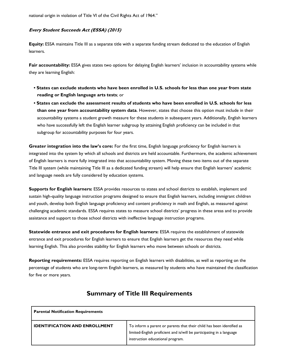national origin in violation of Title VI of the Civil Rights Act of 1964."

## **Every Student Succeeds Act (ESSA) (2015)**

**Equity:** ESSA maintains Title III as a separate title with a separate funding stream dedicated to the education of English learners.

Fair accountability: ESSA gives states two options for delaying English learners' inclusion in accountability systems while they are learning English:

- **States can exclude students who have been enrolled in U.S. schools for less than one year from state reading or English language arts tests**; or
- **States can exclude the assessment results of students who have been enrolled in U.S. schools for less than one year from accountability system data**. However, states that choose this option must include in their accountability systems a student growth measure for these students in subsequent years. Additionally, English learners who have successfully left the English learner subgroup by attaining English proficiency can be included in that subgroup for accountability purposes for four years.

**Greater integration into the law's core:** For the first time, English language proficiency for English learners is integrated into the system by which all schools and districts are held accountable. Furthermore, the academic achievement of English learners is more fully integrated into that accountability system. Moving these two items out of the separate Title III system (while maintaining Title III as a dedicated funding stream) will help ensure that English learners' academic and language needs are fully considered by education systems.

**Supports for English learners:** ESSA provides resources to states and school districts to establish, implement and sustain high-quality language instruction programs designed to ensure that English learners, including immigrant children and youth, develop both English language proficiency and content proficiency in math and English, as measured against challenging academic standards. ESSA requires states to measure school districts' progress in these areas and to provide assistance and support to those school districts with ineffective language instruction programs.

**Statewide entrance and exit procedures for English learners:** ESSA requires the establishment of statewide entrance and exit procedures for English learners to ensure that English learners get the resources they need while learning English. This also provides stability for English learners who move between schools or districts.

**Reporting requirements:** ESSA requires reporting on English learners with disabilities, as well as reporting on the percentage of students who are long-term English learners, as measured by students who have maintained the classification for five or more years.

| <b>Parental Notification Requirements</b> |                                                                                                                                                                                    |  |  |  |
|-------------------------------------------|------------------------------------------------------------------------------------------------------------------------------------------------------------------------------------|--|--|--|
| <b>IDENTIFICATION AND ENROLLMENT</b>      | To inform a parent or parents that their child has been identified as<br>limited-English proficient and is/will be participating in a language<br>instruction educational program. |  |  |  |

## **Summary of Title III Requirements**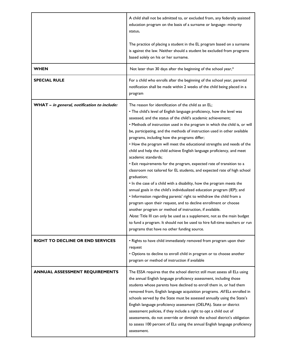|                                             | A child shall not be admitted to, or excluded from, any federally assisted<br>education program on the basis of a surname or language- minority<br>status.                                                                                                                                                                                                                                                                                                                                                                                                                                                                                                                                                                                                                                                                                                                                                                                                                                                                                                                                                                                                                                                                                                                                                                    |  |  |
|---------------------------------------------|-------------------------------------------------------------------------------------------------------------------------------------------------------------------------------------------------------------------------------------------------------------------------------------------------------------------------------------------------------------------------------------------------------------------------------------------------------------------------------------------------------------------------------------------------------------------------------------------------------------------------------------------------------------------------------------------------------------------------------------------------------------------------------------------------------------------------------------------------------------------------------------------------------------------------------------------------------------------------------------------------------------------------------------------------------------------------------------------------------------------------------------------------------------------------------------------------------------------------------------------------------------------------------------------------------------------------------|--|--|
|                                             | The practice of placing a student in the EL program based on a surname<br>is against the law. Neither should a student be excluded from programs<br>based solely on his or her surname.                                                                                                                                                                                                                                                                                                                                                                                                                                                                                                                                                                                                                                                                                                                                                                                                                                                                                                                                                                                                                                                                                                                                       |  |  |
| <b>WHEN</b>                                 | Not later than 30 days after the beginning of the school year,*                                                                                                                                                                                                                                                                                                                                                                                                                                                                                                                                                                                                                                                                                                                                                                                                                                                                                                                                                                                                                                                                                                                                                                                                                                                               |  |  |
| <b>SPECIAL RULE</b>                         | For a child who enrolls after the beginning of the school year, parental<br>notification shall be made within 2 weeks of the child being placed in a<br>program                                                                                                                                                                                                                                                                                                                                                                                                                                                                                                                                                                                                                                                                                                                                                                                                                                                                                                                                                                                                                                                                                                                                                               |  |  |
| WHAT - in general, notification to include: | The reason for identification of the child as an EL;<br>. The child's level of English language proficiency, how the level was<br>assessed, and the status of the child's academic achievement;<br>. Methods of instruction used in the program in which the child is, or will<br>be, participating, and the methods of instruction used in other available<br>programs, including how the programs differ;<br>. How the program will meet the educational strengths and needs of the<br>child and help the child achieve English language proficiency, and meet<br>academic standards;<br>• Exit requirements for the program, expected rate of transition to a<br>classroom not tailored for EL students, and expected rate of high school<br>graduation;<br>. In the case of a child with a disability, how the program meets the<br>annual goals in the child's individualized education program (IEP); and<br>• Information regarding parents' right to withdraw the child from a<br>program upon their request, and to decline enrollment or choose<br>another program or method of instruction, if available.<br>Note: Title III can only be used as a supplement, not as the main budget<br>to fund a program. It should not be used to hire full-time teachers or run<br>programs that have no other funding source. |  |  |
| <b>RIGHT TO DECLINE OR END SERVICES</b>     | . Rights to have child immediately removed from program upon their<br>request<br>• Options to decline to enroll child in program or to choose another<br>program or method of instruction if available                                                                                                                                                                                                                                                                                                                                                                                                                                                                                                                                                                                                                                                                                                                                                                                                                                                                                                                                                                                                                                                                                                                        |  |  |
| <b>ANNUAL ASSESSMENT REQUIREMENTS</b>       | The ESSA requires that the school district still must assess all ELs using<br>the annual English language proficiency assessment, including those<br>students whose parents have declined to enroll them in, or had them<br>removed from, English language acquisition programs. All ELs enrolled in<br>schools served by the State must be assessed annually using the State's<br>English language proficiency assessment (OELPA). State or district<br>assessment policies, if they include a right to opt a child out of<br>assessments, do not override or diminish the school district's obligation<br>to assess 100 percent of ELs using the annual English language proficiency<br>assessment.                                                                                                                                                                                                                                                                                                                                                                                                                                                                                                                                                                                                                         |  |  |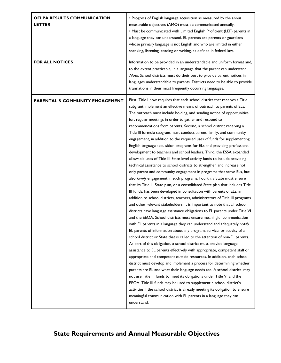| <b>OELPA RESULTS COMMUNICATION</b><br><b>LETTER</b> | • Progress of English language acquisition as measured by the annual<br>measurable objectives (AMO) must be communicated annually.<br>• Must be communicated with Limited English Proficient (LEP) parents in<br>a language they can understand. EL parents are parents or guardians<br>whose primary language is not English and who are limited in either<br>speaking, listening, reading or writing, as defined in federal law.                                                                                                                                                                                                                                                                                                                                                                                                                                                                                                                                                                                                                                                                                                                                                                                                                                                                                                                                                                                                                                                                                                                                                                                                                                                                                                                                                                                                                                                                                                                                                                                                                                                                                                                                                                                                                                                                                                                                                                         |
|-----------------------------------------------------|------------------------------------------------------------------------------------------------------------------------------------------------------------------------------------------------------------------------------------------------------------------------------------------------------------------------------------------------------------------------------------------------------------------------------------------------------------------------------------------------------------------------------------------------------------------------------------------------------------------------------------------------------------------------------------------------------------------------------------------------------------------------------------------------------------------------------------------------------------------------------------------------------------------------------------------------------------------------------------------------------------------------------------------------------------------------------------------------------------------------------------------------------------------------------------------------------------------------------------------------------------------------------------------------------------------------------------------------------------------------------------------------------------------------------------------------------------------------------------------------------------------------------------------------------------------------------------------------------------------------------------------------------------------------------------------------------------------------------------------------------------------------------------------------------------------------------------------------------------------------------------------------------------------------------------------------------------------------------------------------------------------------------------------------------------------------------------------------------------------------------------------------------------------------------------------------------------------------------------------------------------------------------------------------------------------------------------------------------------------------------------------------------------|
| <b>FOR ALL NOTICES</b>                              | Information to be provided in an understandable and uniform format and,<br>to the extent practicable, in a language that the parent can understand.<br>Note: School districts must do their best to provide parent notices in<br>languages understandable to parents. Districts need to be able to provide<br>translations in their most frequently occurring languages.                                                                                                                                                                                                                                                                                                                                                                                                                                                                                                                                                                                                                                                                                                                                                                                                                                                                                                                                                                                                                                                                                                                                                                                                                                                                                                                                                                                                                                                                                                                                                                                                                                                                                                                                                                                                                                                                                                                                                                                                                                   |
| <b>PARENTAL &amp; COMMUNITY ENGAGEMENT</b>          | First, Title I now requires that each school district that receives a Title I<br>subgrant implement an effective means of outreach to parents of ELs.<br>The outreach must include holding, and sending notice of opportunities<br>for, regular meetings in order to gather and respond to<br>recommendations from parents. Second, a school district receiving a<br>Title III formula subgrant must conduct parent, family, and community<br>engagement, in addition to the required uses of funds for supplementing<br>English language acquisition programs for ELs and providing professional<br>development to teachers and school leaders. Third, the ESSA expanded<br>allowable uses of Title III State-level activity funds to include providing<br>technical assistance to school districts to strengthen and increase not<br>only parent and community engagement in programs that serve ELs, but<br>also family engagement in such programs. Fourth, a State must ensure<br>that its Title III State plan, or a consolidated State plan that includes Title<br>III funds, has been developed in consultation with parents of ELs, in<br>addition to school districts, teachers, administrators of Title III programs<br>and other relevant stakeholders. It is important to note that all school<br>districts have language assistance obligations to EL parents under Title VI<br>and the EEOA. School districts must ensure meaningful communication<br>with EL parents in a language they can understand and adequately notify<br>EL parents of information about any program, service, or activity of a<br>school district or State that is called to the attention of non-EL parents.<br>As part of this obligation, a school district must provide language<br>assistance to EL parents effectively with appropriate, competent staff or<br>appropriate and competent outside resources. In addition, each school<br>district must develop and implement a process for determining whether<br>parents are EL and what their language needs are. A school district may<br>not use Title III funds to meet its obligations under Title VI and the<br>EEOA. Title III funds may be used to supplement a school district's<br>activities if the school district is already meeting its obligation to ensure<br>meaningful communication with EL parents in a language they can<br>understand. |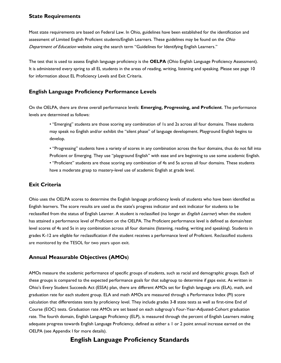## **State Requirements**

Most state requirements are based on Federal Law. In Ohio, guidelines have been established for the identification and assessment of Limited English Proficient students/English Learners. These guidelines may be found on the Ohio Department of Education website using the search term "Guidelines for Identifying English Learners."

The test that is used to assess English language proficiency is the **OELPA** (Ohio English Language Proficiency Assessment). It is administered every spring to all EL students in the areas of reading, writing, listening and speaking. Please see page 10 for information about EL Proficiency Levels and Exit Criteria.

## **English Language Proficiency Performance Levels**

On the OELPA, there are three overall performance levels: **Emerging, Progressing, and Proficient**. The performance levels are determined as follows:

• "Emerging" students are those scoring any combination of 1s and 2s across all four domains. These students may speak no English and/or exhibit the "silent phase" of language development. Playground English begins to develop.

• "Progressing" students have a variety of scores in any combination across the four domains, thus do not fall into Proficient or Emerging. They use "playground English" with ease and are beginning to use some academic English. • "Proficient" students are those scoring any combination of 4s and 5s across all four domains. These students have a moderate grasp to mastery-level use of academic English at grade level.

## **Exit Criteria**

Ohio uses the OELPA scores to determine the English language proficiency levels of students who have been identified as English learners. The score results are used as the state's progress indicator and exit indicator for students to be reclassified from the status of English Learner. A student is reclassified (no longer an *English Learner*) when the student has attained a performance level of Proficient on the OELPA. The Proficient performance level is defined as domain/test level scores of 4s and 5s in any combination across all four domains (listening, reading, writing and speaking). Students in grades K-12 are eligible for reclassification if the student receives a performance level of Proficient. Reclassified students are monitored by the TESOL for two years upon exit.

## **Annual Measurable Objectives (AMOs**)

AMOs measure the academic performance of specific groups of students, such as racial and demographic groups. Each of these groups is compared to the expected performance goals for that subgroup to determine if gaps exist. As written in Ohio's Every Student Succeeds Act (ESSA) plan, there are different AMOs set for English language arts (ELA), math, and graduation rate for each student group. ELA and math AMOs are measured through a Performance Index (PI) score calculation that differentiates tests by proficiency level. They include grades 3-8 state tests as well as first-time End of Course (EOC) tests. Graduation rate AMOs are set based on each subgroup's Four-Year-Adjusted-Cohort graduation rate. The fourth domain, English Language Proficiency (ELP), is measured through the percent of English Learners making adequate progress towards English Language Proficiency, defined as either a 1 or 2 point annual increase earned on the OELPA (see Appendix I for more details).

## **English Language Proficiency Standards**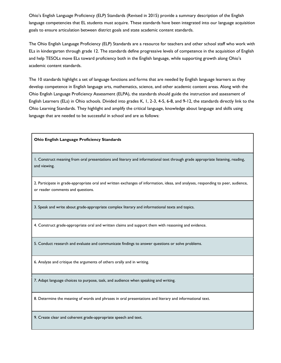Ohio's English Language Proficiency (ELP) Standards (Revised in 2015) provide a summary description of the English language competencies that EL students must acquire. These standards have been integrated into our language acquisition goals to ensure articulation between district goals and state academic content standards.

The Ohio English Language Proficiency (ELP) Standards are a resource for teachers and other school staff who work with ELs in kindergarten through grade 12. The standards define progressive levels of competence in the acquisition of English and help TESOLs move ELs toward proficiency both in the English language, while supporting growth along Ohio's academic content standards.

The 10 standards highlight a set of language functions and forms that are needed by English language learners as they develop competence in English language arts, mathematics, science, and other academic content areas. Along with the Ohio English Language Proficiency Assessment (ELPA), the standards should guide the instruction and assessment of English Learners (ELs) in Ohio schools. Divided into grades K, 1, 2-3, 4-5, 6-8, and 9-12, the standards directly link to the Ohio Learning Standards. They highlight and amplify the critical language, knowledge about language and skills using language that are needed to be successful in school and are as follows:

#### **Ohio English Language Proficiency Standards**

1. Construct meaning from oral presentations and literary and informational text through grade appropriate listening, reading, and viewing.

2. Participate in grade-appropriate oral and written exchanges of information, ideas, and analyses, responding to peer, audience, or reader comments and questions.

3. Speak and write about grade-appropriate complex literary and informational texts and topics.

4. Construct grade-appropriate oral and written claims and support them with reasoning and evidence.

5. Conduct research and evaluate and communicate findings to answer questions or solve problems.

6. Analyze and critique the arguments of others orally and in writing.

7. Adapt language choices to purpose, task, and audience when speaking and writing.

8. Determine the meaning of words and phrases in oral presentations and literary and informational text.

9. Create clear and coherent grade-appropriate speech and text.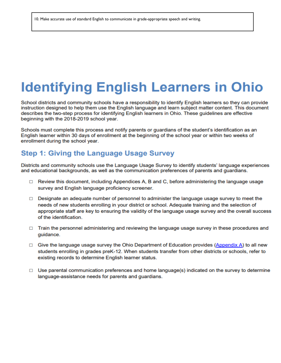## **Identifying English Learners in Ohio**

School districts and community schools have a responsibility to identify English learners so they can provide instruction designed to help them use the English language and learn subject matter content. This document describes the two-step process for identifying English learners in Ohio. These guidelines are effective beginning with the 2018-2019 school year.

Schools must complete this process and notify parents or guardians of the student's identification as an English learner within 30 days of enrollment at the beginning of the school year or within two weeks of enrollment during the school year.

## **Step 1: Giving the Language Usage Survey**

Districts and community schools use the Language Usage Survey to identify students' language experiences and educational backgrounds, as well as the communication preferences of parents and guardians.

- $\Box$  Review this document, including Appendices A, B and C, before administering the language usage survey and English language proficiency screener.
- $\Box$  Designate an adequate number of personnel to administer the language usage survey to meet the needs of new students enrolling in your district or school. Adequate training and the selection of appropriate staff are key to ensuring the validity of the language usage survey and the overall success of the identification.
- $\Box$  Train the personnel administering and reviewing the language usage survey in these procedures and quidance.
- $\Box$  Give the language usage survey the Ohio Department of Education provides (Appendix A) to all new students enrolling in grades preK-12. When students transfer from other districts or schools, refer to existing records to determine English learner status.
- $\Box$  Use parental communication preferences and home language(s) indicated on the survey to determine language-assistance needs for parents and guardians.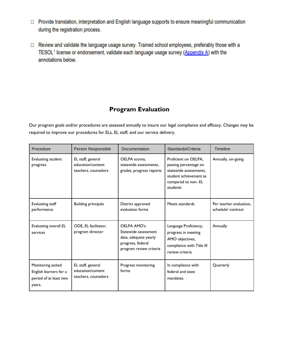- □ Provide translation, interpretation and English language supports to ensure meaningful communication during the registration process.
- □ Review and validate the language usage survey. Trained school employees, preferably those with a TESOL<sup>1</sup> license or endorsement, validate each language usage survey (Appendix A) with the annotations below.

## **Program Evaluation**

Our program goals and/or procedures are assessed annually to insure our legal compliance and efficacy. Changes may be required to improve our procedures for ELs, EL staff, and our service delivery.

| Procedure                                                                       | Person Responsible                                             | Documentation                                                                                                | Standards/Criteria                                                                                                                  | <b>Timeline</b>                              |
|---------------------------------------------------------------------------------|----------------------------------------------------------------|--------------------------------------------------------------------------------------------------------------|-------------------------------------------------------------------------------------------------------------------------------------|----------------------------------------------|
| Evaluating student<br>progress                                                  | EL staff, general<br>education/content<br>teachers, counselors | OELPA scores,<br>statewide assessments,<br>grades, progress reports                                          | Proficient on OELPA,<br>passing percentage on<br>statewide assessments,<br>student achievement as<br>compared to non-EL<br>students | Annually, on-going                           |
| Evaluating staff<br>performance                                                 | <b>Building principals</b>                                     | District approved<br>evaluation forms                                                                        | Meets standards                                                                                                                     | Per teacher evaluation,<br>schedule/contract |
| Evaluating overall EL<br>services                                               | ODE, EL facilitator,<br>program director                       | OELPA AMO's<br>Statewide assessment<br>data, adequate yearly<br>progress, federal<br>program review criteria | Language Proficiency,<br>progress in meeting<br>AMO objectives,<br>compliance with Title III<br>review criteria                     | Annually                                     |
| Monitoring exited<br>English learners for a<br>period of at least two<br>years. | EL staff, general<br>education/content<br>teachers, counselors | Progress monitoring<br>forms                                                                                 | In compliance with<br>federal and state<br>mandates.                                                                                | Quarterly                                    |